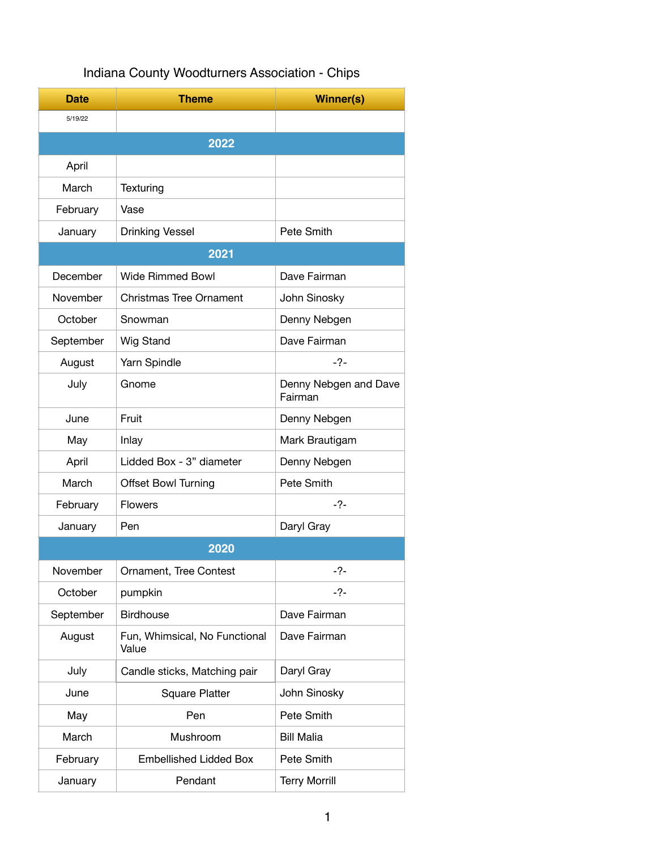|  | Indiana County Woodturners Association - Chips |  |
|--|------------------------------------------------|--|
|  |                                                |  |

| <b>Date</b> | <b>Theme</b>                           | <b>Winner(s)</b>                 |  |  |  |
|-------------|----------------------------------------|----------------------------------|--|--|--|
| 5/19/22     |                                        |                                  |  |  |  |
|             | 2022                                   |                                  |  |  |  |
| April       |                                        |                                  |  |  |  |
| March       | Texturing                              |                                  |  |  |  |
| February    | Vase                                   |                                  |  |  |  |
| January     | <b>Drinking Vessel</b>                 | Pete Smith                       |  |  |  |
|             | 2021                                   |                                  |  |  |  |
| December    | <b>Wide Rimmed Bowl</b>                | Dave Fairman                     |  |  |  |
| November    | <b>Christmas Tree Ornament</b>         | John Sinosky                     |  |  |  |
| October     | Snowman                                | Denny Nebgen                     |  |  |  |
| September   | Wig Stand                              | Dave Fairman                     |  |  |  |
| August      | Yarn Spindle                           | $-2-$                            |  |  |  |
| July        | Gnome                                  | Denny Nebgen and Dave<br>Fairman |  |  |  |
| June        | Fruit                                  | Denny Nebgen                     |  |  |  |
| May         | Inlay                                  | Mark Brautigam                   |  |  |  |
| April       | Lidded Box - 3" diameter               | Denny Nebgen                     |  |  |  |
| March       | <b>Offset Bowl Turning</b>             | Pete Smith                       |  |  |  |
| February    | <b>Flowers</b>                         | $-2-$                            |  |  |  |
| January     | Pen                                    | Daryl Gray                       |  |  |  |
|             | 2020                                   |                                  |  |  |  |
| November    | Ornament, Tree Contest                 | 2-                               |  |  |  |
| October     | pumpkin                                | $-2-$                            |  |  |  |
| September   | <b>Birdhouse</b>                       | Dave Fairman                     |  |  |  |
| August      | Fun, Whimsical, No Functional<br>Value | Dave Fairman                     |  |  |  |
| July        | Candle sticks, Matching pair           | Daryl Gray                       |  |  |  |
| June        | <b>Square Platter</b>                  | John Sinosky                     |  |  |  |
| May         | Pen                                    | Pete Smith                       |  |  |  |
| March       | Mushroom                               | <b>Bill Malia</b>                |  |  |  |
| February    | <b>Embellished Lidded Box</b>          | Pete Smith                       |  |  |  |
| January     | Pendant                                | <b>Terry Morrill</b>             |  |  |  |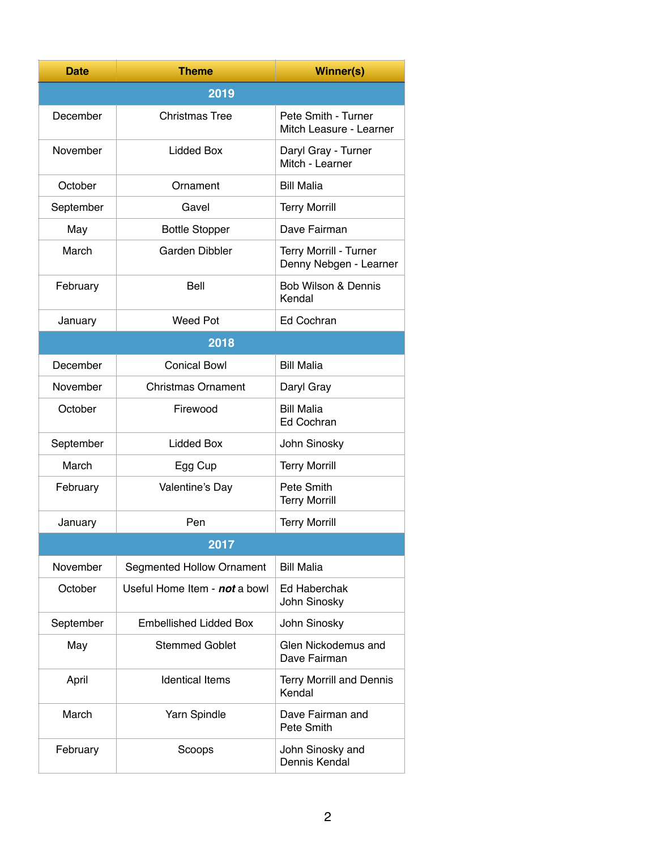| Date      | <b>Theme</b>                     | <b>Winner(s)</b>                                 |  |  |  |
|-----------|----------------------------------|--------------------------------------------------|--|--|--|
|           | 2019                             |                                                  |  |  |  |
| December  | <b>Christmas Tree</b>            | Pete Smith - Turner<br>Mitch Leasure - Learner   |  |  |  |
| November  | Lidded Box                       | Daryl Gray - Turner<br>Mitch - Learner           |  |  |  |
| October   | Ornament                         | <b>Bill Malia</b>                                |  |  |  |
| September | Gavel                            | <b>Terry Morrill</b>                             |  |  |  |
| May       | <b>Bottle Stopper</b>            | Dave Fairman                                     |  |  |  |
| March     | Garden Dibbler                   | Terry Morrill - Turner<br>Denny Nebgen - Learner |  |  |  |
| February  | Bell                             | <b>Bob Wilson &amp; Dennis</b><br>Kendal         |  |  |  |
| January   | <b>Weed Pot</b>                  | Ed Cochran                                       |  |  |  |
| 2018      |                                  |                                                  |  |  |  |
| December  | <b>Conical Bowl</b>              | <b>Bill Malia</b>                                |  |  |  |
| November  | <b>Christmas Ornament</b>        | Daryl Gray                                       |  |  |  |
| October   | Firewood                         | <b>Bill Malia</b><br>Ed Cochran                  |  |  |  |
| September | Lidded Box                       | John Sinosky                                     |  |  |  |
| March     | Egg Cup                          | <b>Terry Morrill</b>                             |  |  |  |
| February  | Valentine's Day                  | Pete Smith<br><b>Terry Morrill</b>               |  |  |  |
| January   | Pen                              | <b>Terry Morrill</b>                             |  |  |  |
|           | 2017                             |                                                  |  |  |  |
| November  | <b>Segmented Hollow Ornament</b> | <b>Bill Malia</b>                                |  |  |  |
| October   | Useful Home Item - not a bowl    | Ed Haberchak<br>John Sinosky                     |  |  |  |
| September | <b>Embellished Lidded Box</b>    | John Sinosky                                     |  |  |  |
| May       | <b>Stemmed Goblet</b>            | Glen Nickodemus and<br>Dave Fairman              |  |  |  |
| April     | <b>Identical Items</b>           | <b>Terry Morrill and Dennis</b><br>Kendal        |  |  |  |
| March     | Yarn Spindle                     | Dave Fairman and<br>Pete Smith                   |  |  |  |
| February  | Scoops                           | John Sinosky and<br>Dennis Kendal                |  |  |  |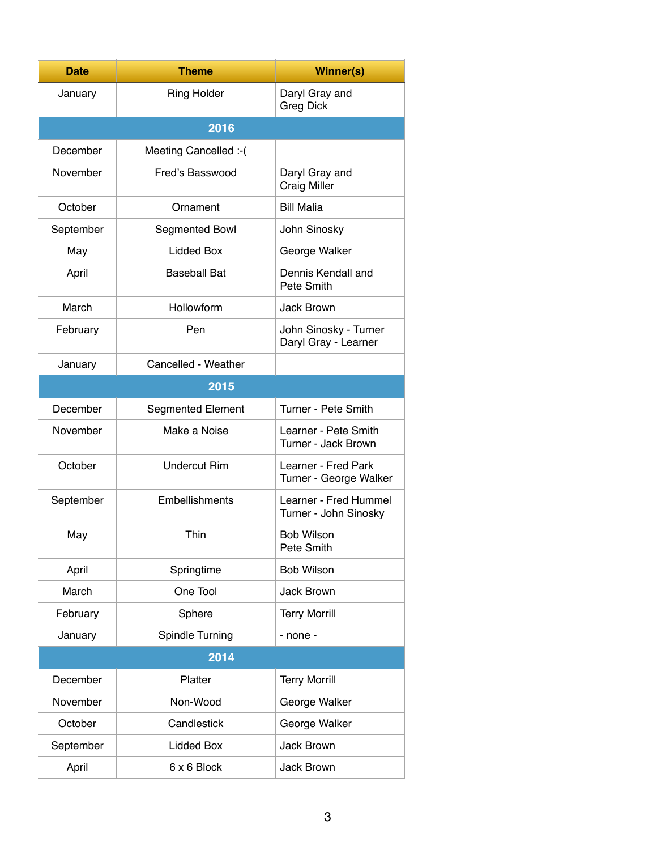| <b>Date</b> | <b>Theme</b>             | <b>Winner(s)</b>                               |  |  |
|-------------|--------------------------|------------------------------------------------|--|--|
| January     | <b>Ring Holder</b>       | Daryl Gray and<br><b>Greg Dick</b>             |  |  |
| 2016        |                          |                                                |  |  |
| December    | Meeting Cancelled :- (   |                                                |  |  |
| November    | Fred's Basswood          | Daryl Gray and<br><b>Craig Miller</b>          |  |  |
| October     | Ornament                 | <b>Bill Malia</b>                              |  |  |
| September   | Segmented Bowl           | John Sinosky                                   |  |  |
| May         | <b>Lidded Box</b>        | George Walker                                  |  |  |
| April       | <b>Baseball Bat</b>      | Dennis Kendall and<br>Pete Smith               |  |  |
| March       | Hollowform               | Jack Brown                                     |  |  |
| February    | Pen                      | John Sinosky - Turner<br>Daryl Gray - Learner  |  |  |
| January     | Cancelled - Weather      |                                                |  |  |
|             | 2015                     |                                                |  |  |
| December    | <b>Segmented Element</b> | Turner - Pete Smith                            |  |  |
| November    | Make a Noise             | Learner - Pete Smith<br>Turner - Jack Brown    |  |  |
| October     | <b>Undercut Rim</b>      | Learner - Fred Park<br>Turner - George Walker  |  |  |
| September   | Embellishments           | Learner - Fred Hummel<br>Turner - John Sinosky |  |  |
| May         | Thin                     | <b>Bob Wilson</b><br>Pete Smith                |  |  |
| April       | Springtime               | <b>Bob Wilson</b>                              |  |  |
| March       | One Tool                 | Jack Brown                                     |  |  |
| February    | Sphere                   | <b>Terry Morrill</b>                           |  |  |
| January     | Spindle Turning          | $-$ none $-$                                   |  |  |
| 2014        |                          |                                                |  |  |
| December    | Platter                  | <b>Terry Morrill</b>                           |  |  |
| November    | Non-Wood                 | George Walker                                  |  |  |
| October     | Candlestick              | George Walker                                  |  |  |
| September   | <b>Lidded Box</b>        | Jack Brown                                     |  |  |
| April       | 6 x 6 Block              | Jack Brown                                     |  |  |